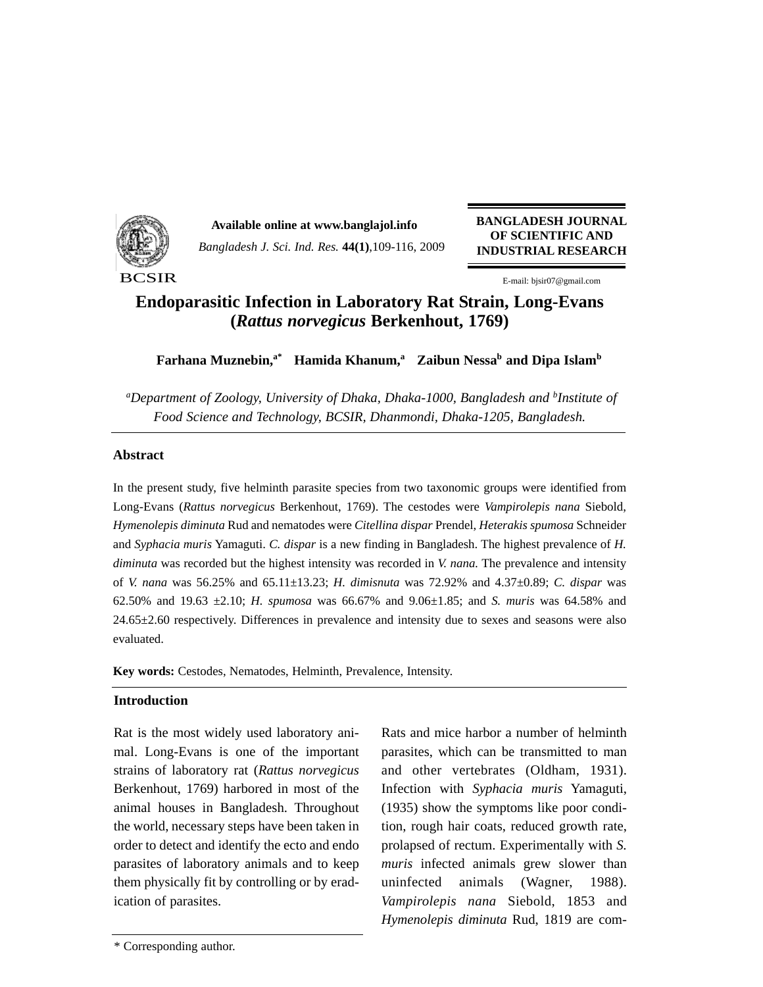

*Bangladesh J. Sci. Ind. Res.* **44(1)**,109-116, 2009 **Available online at www.banglajol.info BANGLADESH JOURNAL**

**OF SCIENTIFIC AND INDUSTRIAL RESEARCH**

E-mail: bjsir07@gmail.com

# **Endoparasitic Infection in Laboratory Rat Strain, Long-Evans (***Rattus norvegicus* **Berkenhout, 1769)**

**Farhana Muznebin,**<sup>a\*</sup> **Hamida Khanum,<sup>a</sup> Zaibun Nessa<sup>b</sup> and Dipa Islam<sup>b</sup>** 

*a Department of Zoology, University of Dhaka, Dhaka-1000, Bangladesh and b Institute of Food Science and Technology, BCSIR, Dhanmondi, Dhaka-1205, Bangladesh.*

# **Abstract**

In the present study, five helminth parasite species from two taxonomic groups were identified from Long-Evans (*Rattus norvegicus* Berkenhout, 1769). The cestodes were *Vampirolepis nana* Siebold, *Hymenolepis diminuta* Rud and nematodes were *Citellina dispar* Prendel, *Heterakis spumosa* Schneider and *Syphacia muris* Yamaguti. *C. dispar* is a new finding in Bangladesh. The highest prevalence of *H. diminuta* was recorded but the highest intensity was recorded in *V. nana.* The prevalence and intensity of *V. nana* was 56.25% and 65.11±13.23; *H. dimisnuta* was 72.92% and 4.37±0.89; *C. dispar* was 62.50% and 19.63 ±2.10; *H. spumosa* was 66.67% and 9.06±1.85; and *S. muris* was 64.58% and 24.65±2.60 respectively. Differences in prevalence and intensity due to sexes and seasons were also evaluated.

**Key words:** Cestodes, Nematodes, Helminth, Prevalence, Intensity.

# **Introduction**

Rat is the most widely used laboratory animal. Long-Evans is one of the important strains of laboratory rat (*Rattus norvegicus* Berkenhout, 1769) harbored in most of the animal houses in Bangladesh. Throughout the world, necessary steps have been taken in order to detect and identify the ecto and endo parasites of laboratory animals and to keep them physically fit by controlling or by eradication of parasites.

Rats and mice harbor a number of helminth parasites, which can be transmitted to man and other vertebrates (Oldham, 1931). Infection with *Syphacia muris* Yamaguti, (1935) show the symptoms like poor condition, rough hair coats, reduced growth rate, prolapsed of rectum. Experimentally with *S. muris* infected animals grew slower than uninfected animals (Wagner, 1988). *Vampirolepis nana* Siebold, 1853 and *Hymenolepis diminuta* Rud, 1819 are com-

<sup>\*</sup> Corresponding author.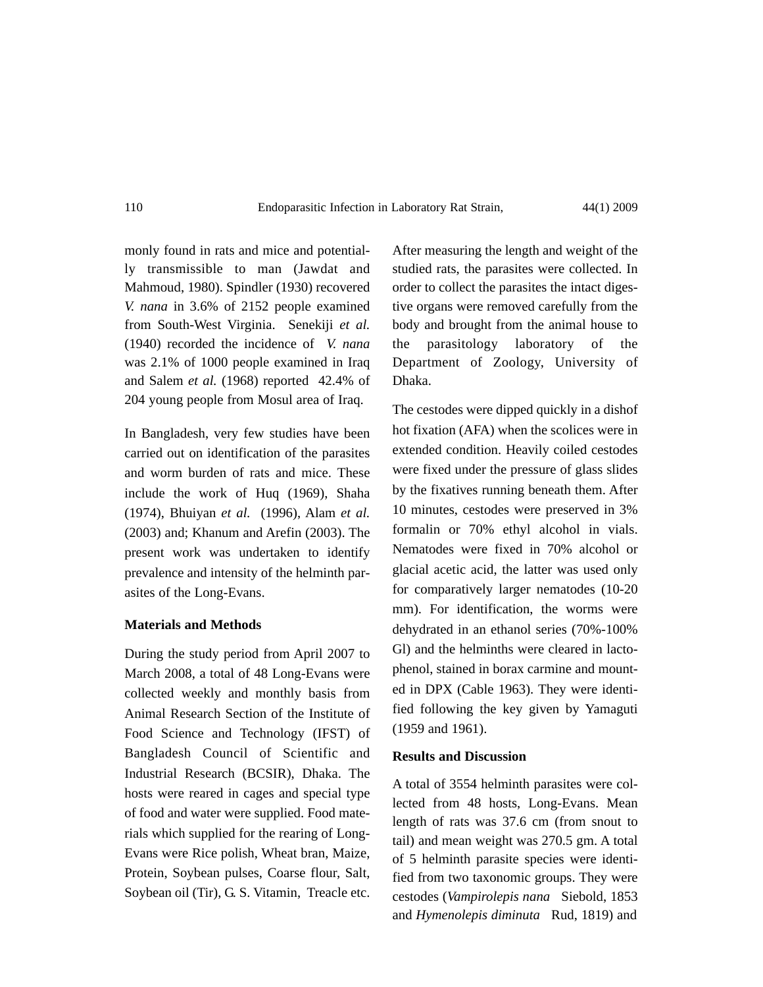# 110 Endoparasitic Infection in Laboratory Rat Strain, 44(1) 2009

monly found in rats and mice and potentially transmissible to man (Jawdat and Mahmoud, 1980). Spindler (1930) recovered *V. nana* in 3.6% of 2152 people examined from South-West Virginia. Senekiji *et al.* (1940) recorded the incidence of *V. nana* was 2.1% of 1000 people examined in Iraq and Salem *et al.* (1968) reported 42.4% of 204 young people from Mosul area of Iraq.

In Bangladesh, very few studies have been carried out on identification of the parasites and worm burden of rats and mice. These include the work of Huq (1969), Shaha (1974), Bhuiyan *et al.* (1996), Alam *et al.* (2003) and; Khanum and Arefin (2003). The present work was undertaken to identify prevalence and intensity of the helminth parasites of the Long-Evans.

## **Materials and Methods**

During the study period from April 2007 to March 2008, a total of 48 Long-Evans were collected weekly and monthly basis from Animal Research Section of the Institute of Food Science and Technology (IFST) of Bangladesh Council of Scientific and Industrial Research (BCSIR), Dhaka. The hosts were reared in cages and special type of food and water were supplied. Food materials which supplied for the rearing of Long-Evans were Rice polish, Wheat bran, Maize, Protein, Soybean pulses, Coarse flour, Salt, Soybean oil (Tir), G. S. Vitamin, Treacle etc.

After measuring the length and weight of the studied rats, the parasites were collected. In order to collect the parasites the intact digestive organs were removed carefully from the body and brought from the animal house to the parasitology laboratory of the Department of Zoology, University of Dhaka.

The cestodes were dipped quickly in a dishof hot fixation (AFA) when the scolices were in extended condition. Heavily coiled cestodes were fixed under the pressure of glass slides by the fixatives running beneath them. After 10 minutes, cestodes were preserved in 3% formalin or 70% ethyl alcohol in vials. Nematodes were fixed in 70% alcohol or glacial acetic acid, the latter was used only for comparatively larger nematodes (10-20 mm). For identification, the worms were dehydrated in an ethanol series (70%-100% Gl) and the helminths were cleared in lactophenol, stained in borax carmine and mounted in DPX (Cable 1963). They were identified following the key given by Yamaguti (1959 and 1961).

#### **Results and Discussion**

A total of 3554 helminth parasites were collected from 48 hosts, Long-Evans. Mean length of rats was 37.6 cm (from snout to tail) and mean weight was 270.5 gm. A total of 5 helminth parasite species were identified from two taxonomic groups. They were cestodes (*Vampirolepis nana* Siebold, 1853 and *Hymenolepis diminuta* Rud, 1819) and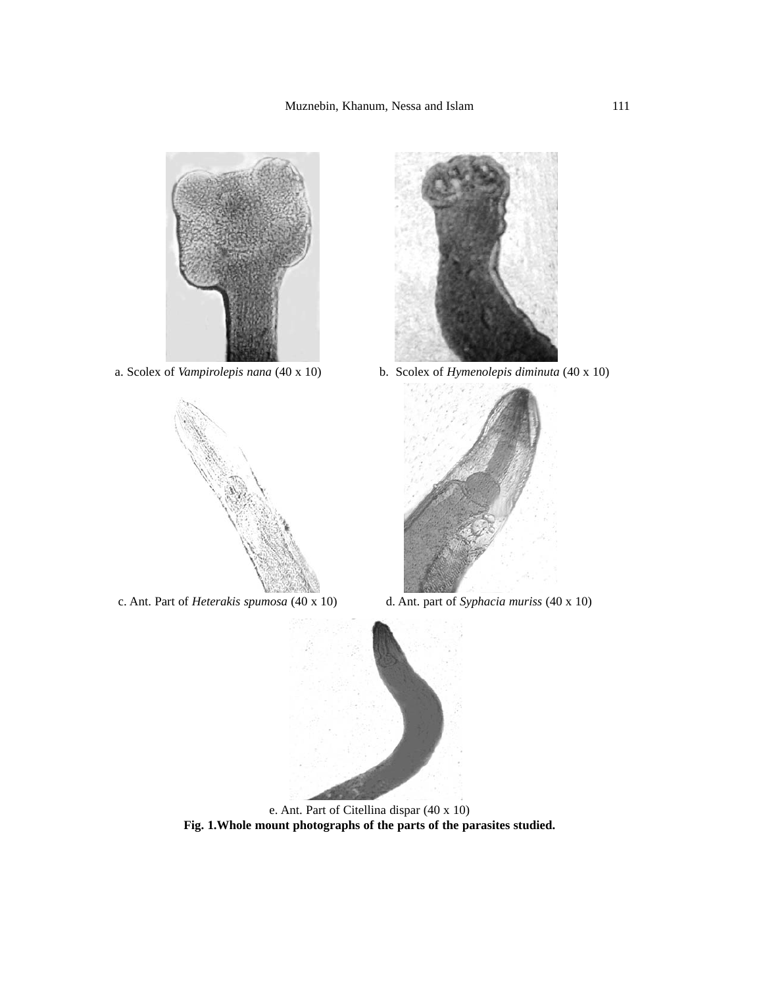





a. Scolex of *Vampirolepis nana* (40 x 10) b. Scolex of *Hymenolepis diminuta* (40 x 10)



c. Ant. Part of *Heterakis spumosa* (40 x 10) d. Ant. part of *Syphacia muriss* (40 x 10)



e. Ant. Part of Citellina dispar (40 x 10) **Fig. 1.Whole mount photographs of the parts of the parasites studied.**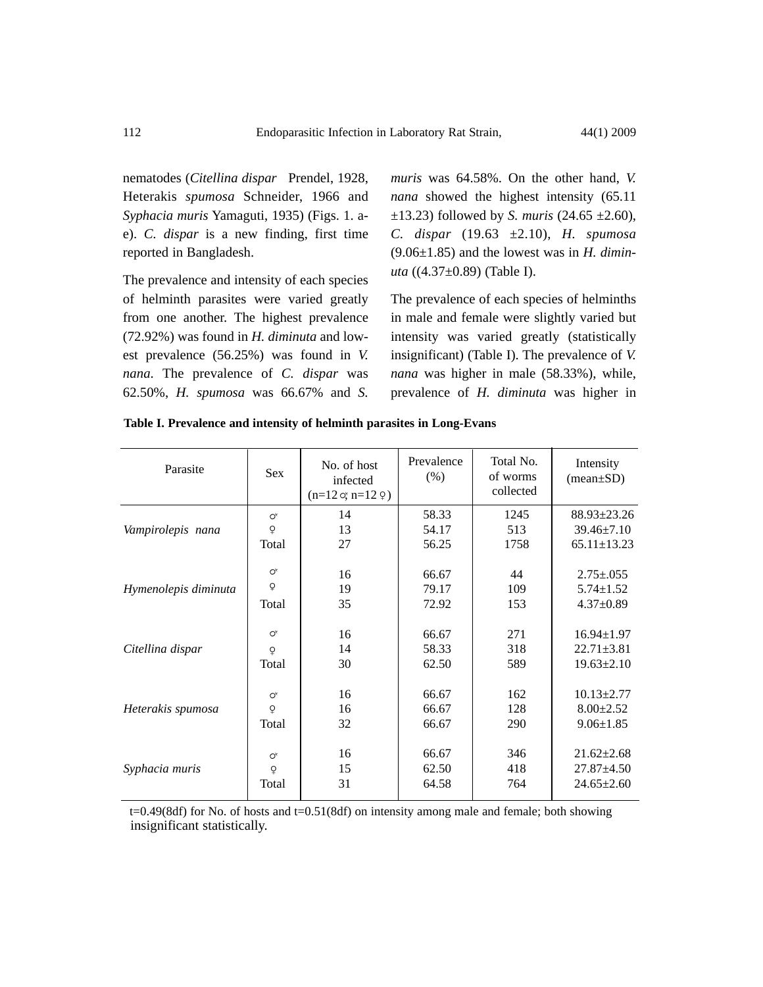nematodes (*Citellina dispar* Prendel, 1928, Heterakis *spumosa* Schneider, 1966 and *Syphacia muris* Yamaguti, 1935) (Figs. 1. ae). *C. dispar* is a new finding, first time reported in Bangladesh.

The prevalence and intensity of each species of helminth parasites were varied greatly from one another. The highest prevalence (72.92%) was found in *H. diminuta* and lowest prevalence (56.25%) was found in *V. nana.* The prevalence of *C. dispar* was 62.50%, *H. spumosa* was 66.67% and *S.*

*muris* was 64.58%. On the other hand, *V. nana* showed the highest intensity (65.11  $\pm$ 13.23) followed by *S. muris* (24.65  $\pm$ 2.60), *C. dispar* (19.63 ±2.10), *H. spumosa* (9.06±1.85) and the lowest was in *H. diminuta* ((4.37±0.89) (Table I).

The prevalence of each species of helminths in male and female were slightly varied but intensity was varied greatly (statistically insignificant) (Table I). The prevalence of *V. nana* was higher in male (58.33%), while, prevalence of *H. diminuta* was higher in

| Parasite             | <b>Sex</b>            | No. of host<br>infected<br>$(n=12 \alpha; n=12 \varphi)$ | Prevalence<br>(% ) | Total No.<br>of worms<br>collected | Intensity<br>$(\text{mean} \pm \text{SD})$ |
|----------------------|-----------------------|----------------------------------------------------------|--------------------|------------------------------------|--------------------------------------------|
| Vampirolepis nana    | $\mathsf{O}^\star$    | 14                                                       | 58.33              | 1245                               | $88.93 \pm 23.26$                          |
|                      | $\frac{0}{x}$         | 13                                                       | 54.17              | 513                                | $39.46 \pm 7.10$                           |
|                      | Total                 | 27                                                       | 56.25              | 1758                               | $65.11 \pm 13.23$                          |
| Hymenolepis diminuta | $\mathsf{O}^\star$    | 16                                                       | 66.67              | 44                                 | $2.75 \pm 0.055$                           |
|                      | $\mathsf{Q}$          | 19                                                       | 79.17              | 109                                | $5.74 \pm 1.52$                            |
|                      | Total                 | 35                                                       | 72.92              | 153                                | $4.37 \pm 0.89$                            |
| Citellina dispar     | $\alpha^{\mathsf{x}}$ | 16                                                       | 66.67              | 271                                | $16.94 \pm 1.97$                           |
|                      | $\Omega$              | 14                                                       | 58.33              | 318                                | $22.71 \pm 3.81$                           |
|                      | Total                 | 30                                                       | 62.50              | 589                                | $19.63 \pm 2.10$                           |
| Heterakis spumosa    | $\mathsf{O}^\star$    | 16                                                       | 66.67              | 162                                | $10.13 \pm 2.77$                           |
|                      | $\overline{Q}$        | 16                                                       | 66.67              | 128                                | $8.00 \pm 2.52$                            |
|                      | Total                 | 32                                                       | 66.67              | 290                                | $9.06 \pm 1.85$                            |
| Syphacia muris       | $\mathsf{O}^\star$    | 16                                                       | 66.67              | 346                                | $21.62 \pm 2.68$                           |
|                      | $\overline{Q}$        | 15                                                       | 62.50              | 418                                | $27.87 \pm 4.50$                           |
|                      | Total                 | 31                                                       | 64.58              | 764                                | $24.65 \pm 2.60$                           |

| Table I. Prevalence and intensity of helminth parasites in Long-Evans |  |  |
|-----------------------------------------------------------------------|--|--|
|                                                                       |  |  |

t=0.49(8df) for No. of hosts and t=0.51(8df) on intensity among male and female; both showing insignificant statistically.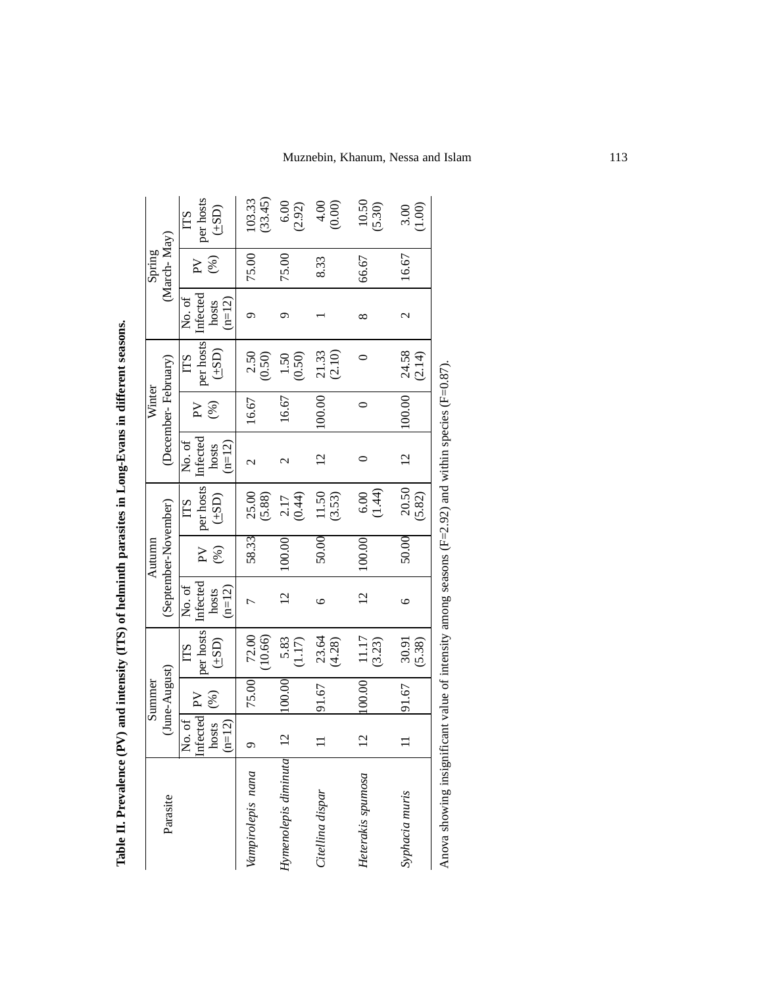|                                                                                                       |                       | Summer        |                            |                    | Autumn                  |                                    |                    | Winter                         |                           |                   | Spring                         |                   |
|-------------------------------------------------------------------------------------------------------|-----------------------|---------------|----------------------------|--------------------|-------------------------|------------------------------------|--------------------|--------------------------------|---------------------------|-------------------|--------------------------------|-------------------|
| Parasite                                                                                              |                       | (June-August) |                            |                    | (September-November)    |                                    |                    | (December-February)            |                           |                   | (March-May)                    |                   |
|                                                                                                       | Infected PV<br>No. of | (%)           | per hosts<br>LTS           | Infected<br>No. of | $\mathsf{P} \mathsf{V}$ | per hosts<br>$\overline{\text{L}}$ | Infected<br>No. of | (%)<br>$\mathsf{P} \mathsf{V}$ | per hosts Infected<br>ITS | No. of            | (%)<br>$\mathsf{P}^\mathsf{V}$ | per hosts<br>LTS  |
|                                                                                                       | hosts<br>$(n=12)$     |               | $(\underline{ {\rm dS} })$ | $(n=12)$<br>hosts  | (%)                     | (151)                              | hosts<br>$(n=12)$  |                                | (124)                     | $(n=12)$<br>hosts |                                | (4SD)             |
| Vampirolepis nana                                                                                     | $\circ$               | 75.00         | 72.00<br>(10.66)           | 7                  | 58.33                   | 25.00<br>(5.88)                    | $\mathcal{C}$      | 16.67                          | 2.50<br>(0.50)            | Ó                 | 75.00                          | (33.45)<br>103.33 |
| Hymenolepis diminuta                                                                                  | $\overline{2}$        | 100.00        | 5.83<br>(1.17)             | $\overline{C}$     | 100.00                  | $2.17$<br>$(0.44)$                 | $\mathcal{C}$      | 16.67                          | (0.50)<br>1.50            | ᢒ                 | 75.00                          | 6.00<br>(2.92)    |
| Citellina dispar                                                                                      | $\equiv$              | 91.67         | 23.64<br>(4.28)            | $\circ$            | 50.00                   | 11.50<br>(3.53)                    | $\overline{c}$     | 00.00                          | 21.33<br>(2.10)           |                   | 8.33                           | 4.00<br>(0.00)    |
| Heterakis spumosa                                                                                     | $\overline{c}$        | 100.00        | 11.17<br>(3.23)            | $\overline{2}$     | 100.00                  | (1.44)<br>6.00                     | 0                  | $\circ$                        | 0                         | ∞                 | 66.67                          | 10.50<br>(5.30)   |
| Syphacia muris                                                                                        | $\equiv$              | 91.67         | 30.91<br>(5.38)            | $\circ$            | 50.00                   | 20.50<br>(5.82)                    | $\overline{5}$     | 100.00                         | 24.58<br>(2.14)           | $\mathcal{C}$     | 16.67                          | 1.00<br>3.00      |
| Anova showing insignificant value of intensity among seasons $(F=2.92)$ and within species $(F=0.87)$ |                       |               |                            |                    |                         |                                    |                    |                                |                           |                   |                                |                   |

Table II. Prevalence (PV) and intensity (ITS) of helminth parasites in Long-Evans in different seasons. **Table II. Prevalence (PV) and intensity (ITS) of helminth parasites in Long-Evans in different seasons.**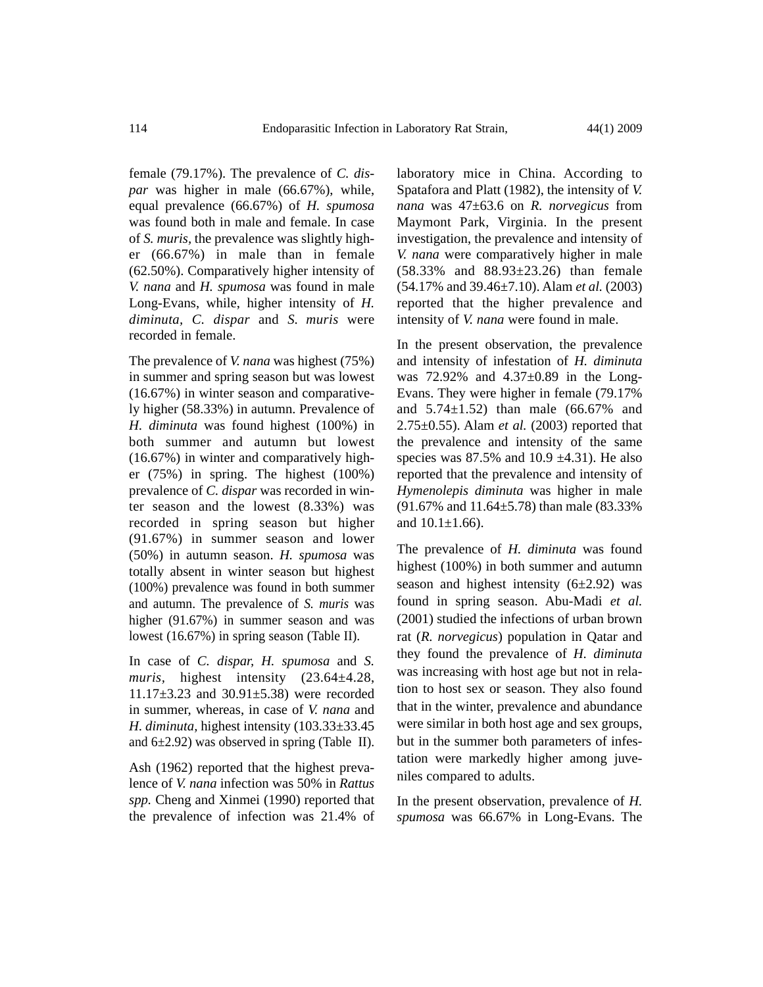female (79.17%). The prevalence of *C. dispar* was higher in male (66.67%), while, equal prevalence (66.67%) of *H. spumosa* was found both in male and female. In case of *S. muris,* the prevalence was slightly higher (66.67%) in male than in female (62.50%). Comparatively higher intensity of *V. nana* and *H. spumosa* was found in male Long-Evans, while, higher intensity of *H. diminuta, C. dispar* and *S. muris* were recorded in female.

The prevalence of *V. nana* was highest (75%) in summer and spring season but was lowest (16.67%) in winter season and comparatively higher (58.33%) in autumn. Prevalence of *H. diminuta* was found highest (100%) in both summer and autumn but lowest (16.67%) in winter and comparatively higher (75%) in spring. The highest (100%) prevalence of *C. dispar* was recorded in winter season and the lowest (8.33%) was recorded in spring season but higher (91.67%) in summer season and lower (50%) in autumn season. *H. spumosa* was totally absent in winter season but highest (100%) prevalence was found in both summer and autumn. The prevalence of *S. muris* was higher (91.67%) in summer season and was lowest (16.67%) in spring season (Table II).

In case of *C. dispar, H. spumosa* and *S. muris,* highest intensity (23.64±4.28, 11.17±3.23 and 30.91±5.38) were recorded in summer, whereas, in case of *V. nana* and *H. diminuta,* highest intensity (103.33±33.45 and  $6\pm2.92$ ) was observed in spring (Table II).

Ash (1962) reported that the highest prevalence of *V. nana* infection was 50% in *Rattus spp.* Cheng and Xinmei (1990) reported that the prevalence of infection was 21.4% of laboratory mice in China. According to Spatafora and Platt (1982), the intensity of *V. nana* was 47±63.6 on *R. norvegicus* from Maymont Park, Virginia. In the present investigation, the prevalence and intensity of *V. nana* were comparatively higher in male (58.33% and 88.93±23.26) than female (54.17% and 39.46±7.10). Alam *et al.* (2003) reported that the higher prevalence and intensity of *V. nana* were found in male.

In the present observation, the prevalence and intensity of infestation of *H. diminuta* was 72.92% and 4.37±0.89 in the Long-Evans. They were higher in female (79.17% and 5.74±1.52) than male (66.67% and 2.75±0.55). Alam *et al.* (2003) reported that the prevalence and intensity of the same species was  $87.5\%$  and  $10.9 \pm 4.31$ ). He also reported that the prevalence and intensity of *Hymenolepis diminuta* was higher in male (91.67% and 11.64±5.78) than male (83.33% and  $10.1 \pm 1.66$ ).

The prevalence of *H. diminuta* was found highest (100%) in both summer and autumn season and highest intensity  $(6\pm2.92)$  was found in spring season. Abu-Madi *et al.* (2001) studied the infections of urban brown rat (*R. norvegicus*) population in Qatar and they found the prevalence of *H. diminuta* was increasing with host age but not in relation to host sex or season. They also found that in the winter, prevalence and abundance were similar in both host age and sex groups, but in the summer both parameters of infestation were markedly higher among juveniles compared to adults.

In the present observation, prevalence of *H. spumosa* was 66.67% in Long-Evans. The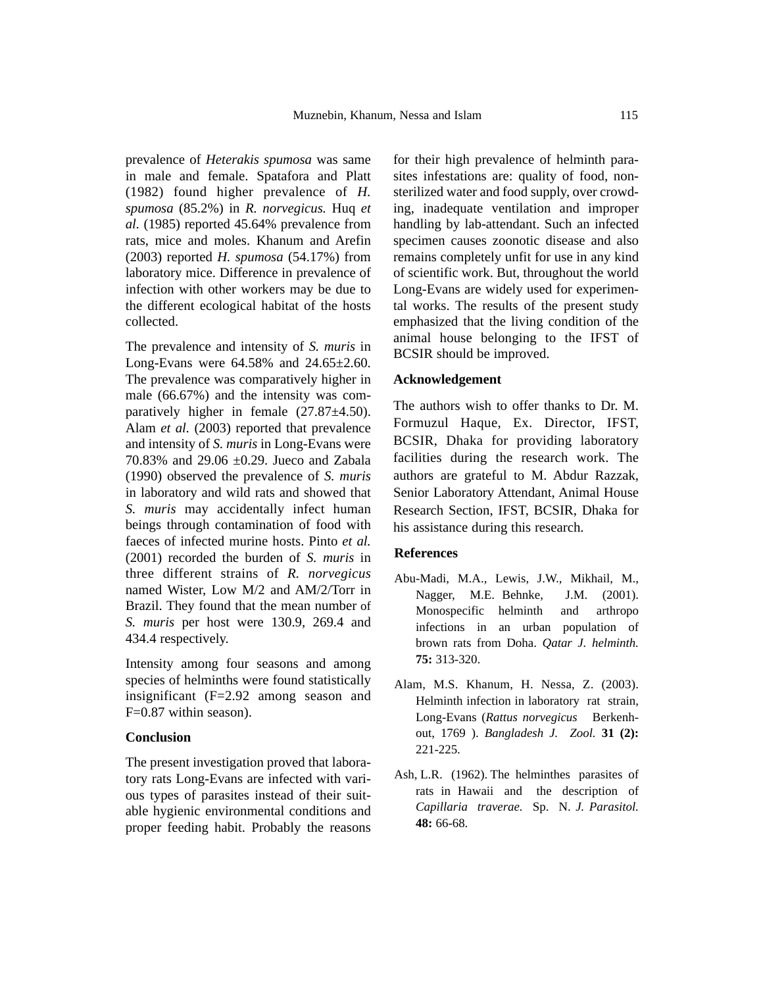prevalence of *Heterakis spumosa* was same in male and female. Spatafora and Platt (1982) found higher prevalence of *H. spumosa* (85.2%) in *R. norvegicus.* Huq *et al.* (1985) reported 45.64% prevalence from rats, mice and moles. Khanum and Arefin (2003) reported *H. spumosa* (54.17%) from laboratory mice. Difference in prevalence of infection with other workers may be due to the different ecological habitat of the hosts collected.

The prevalence and intensity of *S. muris* in Long-Evans were 64.58% and 24.65±2.60. The prevalence was comparatively higher in male (66.67%) and the intensity was comparatively higher in female (27.87±4.50). Alam *et al.* (2003) reported that prevalence and intensity of *S. muris* in Long-Evans were 70.83% and 29.06 ±0.29. Jueco and Zabala (1990) observed the prevalence of *S. muris* in laboratory and wild rats and showed that *S. muris* may accidentally infect human beings through contamination of food with faeces of infected murine hosts. Pinto *et al.* (2001) recorded the burden of *S. muris* in three different strains of *R. norvegicus* named Wister, Low M/2 and AM/2/Torr in Brazil. They found that the mean number of *S. muris* per host were 130.9, 269.4 and 434.4 respectively.

Intensity among four seasons and among species of helminths were found statistically insignificant (F=2.92 among season and F=0.87 within season).

### **Conclusion**

The present investigation proved that laboratory rats Long-Evans are infected with various types of parasites instead of their suitable hygienic environmental conditions and proper feeding habit. Probably the reasons

for their high prevalence of helminth parasites infestations are: quality of food, nonsterilized water and food supply, over crowding, inadequate ventilation and improper handling by lab-attendant. Such an infected specimen causes zoonotic disease and also remains completely unfit for use in any kind of scientific work. But, throughout the world Long-Evans are widely used for experimental works. The results of the present study emphasized that the living condition of the animal house belonging to the IFST of BCSIR should be improved.

## **Acknowledgement**

The authors wish to offer thanks to Dr. M. Formuzul Haque, Ex. Director, IFST, BCSIR, Dhaka for providing laboratory facilities during the research work. The authors are grateful to M. Abdur Razzak, Senior Laboratory Attendant, Animal House Research Section, IFST, BCSIR, Dhaka for his assistance during this research.

### **References**

- Abu-Madi, M.A., Lewis, J.W., Mikhail, M., Nagger, M.E. Behnke, J.M. (2001). Monospecific helminth and arthropo infections in an urban population of brown rats from Doha. *Qatar J. helminth.* **75:** 313-320.
- Alam, M.S. Khanum, H. Nessa, Z. (2003). Helminth infection in laboratory rat strain, Long-Evans (*Rattus norvegicus* Berkenhout, 1769 ). *Bangladesh J. Zool.* **31 (2):** 221-225.
- Ash, L.R. (1962). The helminthes parasites of rats in Hawaii and the description of *Capillaria traverae.* Sp. N. *J. Parasitol.* **48:** 66-68.